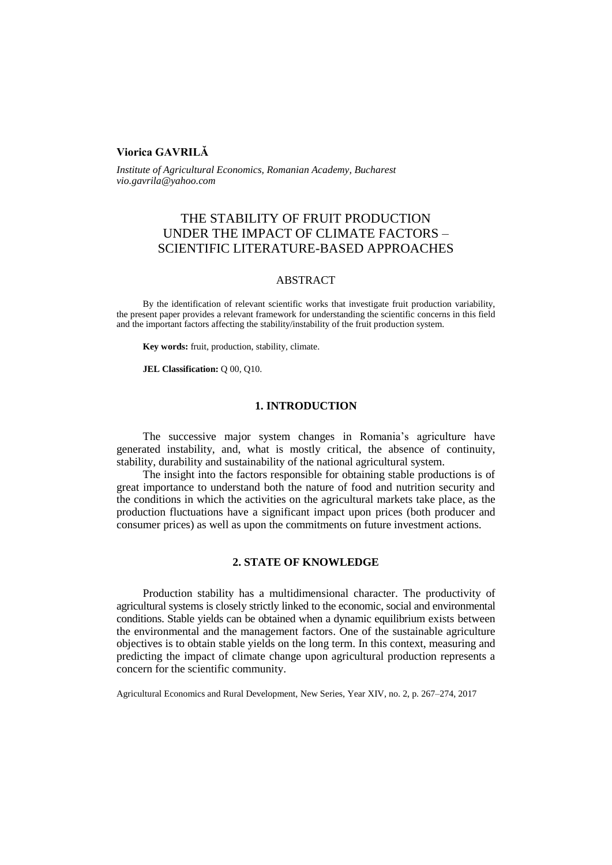# **Viorica GAVRILĂ**

*Institute of Agricultural Economics, Romanian Academy, Bucharest vio.gavrila@yahoo.com* 

# THE STABILITY OF FRUIT PRODUCTION UNDER THE IMPACT OF CLIMATE FACTORS – SCIENTIFIC LITERATURE-BASED APPROACHES

## ABSTRACT

By the identification of relevant scientific works that investigate fruit production variability, the present paper provides a relevant framework for understanding the scientific concerns in this field and the important factors affecting the stability/instability of the fruit production system.

**Key words:** fruit, production, stability, climate.

**JEL Classification:** Q 00, Q10.

### **1. INTRODUCTION**

The successive major system changes in Romania's agriculture have generated instability, and, what is mostly critical, the absence of continuity, stability, durability and sustainability of the national agricultural system.

The insight into the factors responsible for obtaining stable productions is of great importance to understand both the nature of food and nutrition security and the conditions in which the activities on the agricultural markets take place, as the production fluctuations have a significant impact upon prices (both producer and consumer prices) as well as upon the commitments on future investment actions.

## **2. STATE OF KNOWLEDGE**

Production stability has a multidimensional character. The productivity of agricultural systems is closely strictly linked to the economic, social and environmental conditions. Stable yields can be obtained when a dynamic equilibrium exists between the environmental and the management factors. One of the sustainable agriculture objectives is to obtain stable yields on the long term. In this context, measuring and predicting the impact of climate change upon agricultural production represents a concern for the scientific community.

Agricultural Economics and Rural Development, New Series, Year XIV, no. 2, p. 267–274, 2017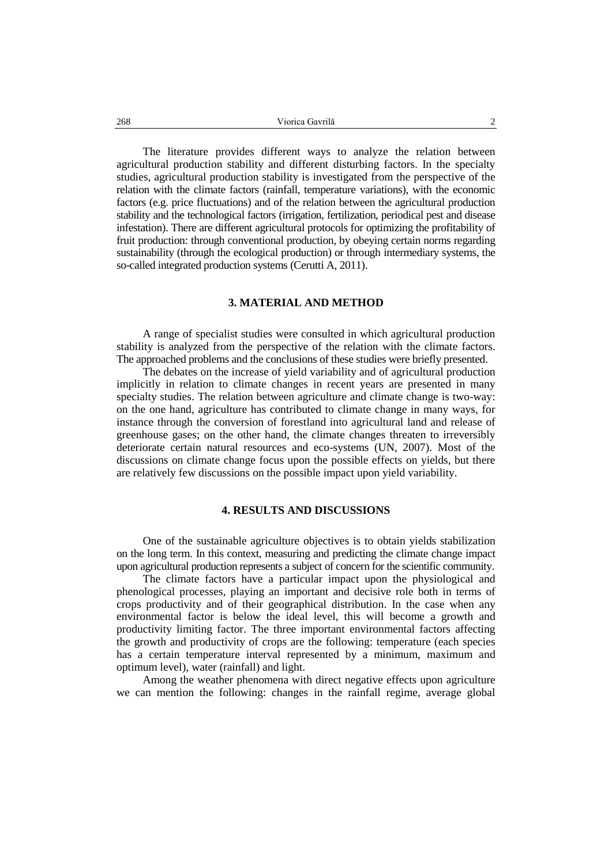The literature provides different ways to analyze the relation between agricultural production stability and different disturbing factors. In the specialty studies, agricultural production stability is investigated from the perspective of the relation with the climate factors (rainfall, temperature variations), with the economic factors (e.g. price fluctuations) and of the relation between the agricultural production stability and the technological factors (irrigation, fertilization, periodical pest and disease infestation). There are different agricultural protocols for optimizing the profitability of fruit production: through conventional production, by obeying certain norms regarding sustainability (through the ecological production) or through intermediary systems, the so-called integrated production systems [\(Cerutti](http://www.sciencedirect.com/science/article/pii/S030147971100137X) A, 2011).

#### **3. MATERIAL AND METHOD**

A range of specialist studies were consulted in which agricultural production stability is analyzed from the perspective of the relation with the climate factors. The approached problems and the conclusions of these studies were briefly presented.

The debates on the increase of yield variability and of agricultural production implicitly in relation to climate changes in recent years are presented in many specialty studies. The relation between agriculture and climate change is two-way: on the one hand, agriculture has contributed to climate change in many ways, for instance through the conversion of forestland into agricultural land and release of greenhouse gases; on the other hand, the climate changes threaten to irreversibly deteriorate certain natural resources and eco-systems (UN, 2007). Most of the discussions on climate change focus upon the possible effects on yields, but there are relatively few discussions on the possible impact upon yield variability.

#### **4. RESULTS AND DISCUSSIONS**

One of the sustainable agriculture objectives is to obtain yields stabilization on the long term. In this context, measuring and predicting the climate change impact upon agricultural production represents a subject of concern for the scientific community.

The climate factors have a particular impact upon the physiological and phenological processes, playing an important and decisive role both in terms of crops productivity and of their geographical distribution. In the case when any environmental factor is below the ideal level, this will become a growth and productivity limiting factor. The three important environmental factors affecting the growth and productivity of crops are the following: temperature (each species has a certain temperature interval represented by a minimum, maximum and optimum level), water (rainfall) and light.

Among the weather phenomena with direct negative effects upon agriculture we can mention the following: changes in the rainfall regime, average global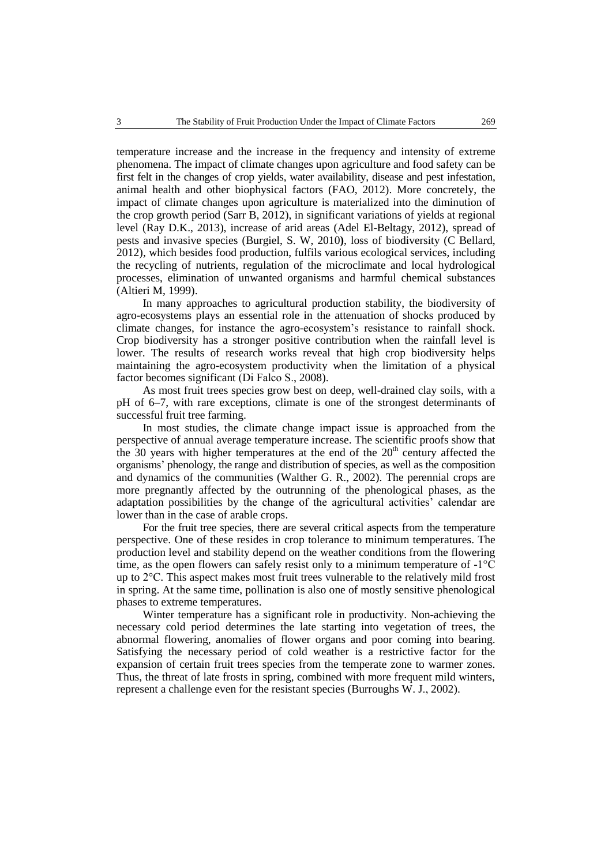temperature increase and the increase in the frequency and intensity of extreme phenomena. The impact of climate changes upon agriculture and food safety can be first felt in the changes of crop yields, water availability, disease and pest infestation, animal health and other biophysical factors (FAO, 2012). More concretely, the impact of climate changes upon agriculture is materialized into the diminution of the crop growth period (Sarr B, 2012), in significant variations of yields at regional level (Ray D.K., 2013), increase of arid areas (Adel El-Beltagy, 2012), spread of pests and invasive species (Burgiel, S. W, 2010**)**, loss of biodiversity (C Bellard, 2012), which besides food production, fulfils various ecological services, including the recycling of nutrients, regulation of the microclimate and local hydrological processes, elimination of unwanted organisms and harmful chemical substances (Altieri M, 1999).

In many approaches to agricultural production stability, the biodiversity of agro-ecosystems plays an essential role in the attenuation of shocks produced by climate changes, for instance the agro-ecosystem's resistance to rainfall shock. Crop biodiversity has a stronger positive contribution when the rainfall level is lower. The results of research works reveal that high crop biodiversity helps maintaining the agro-ecosystem productivity when the limitation of a physical factor becomes significant (Di Falco S., 2008).

As most fruit trees species grow best on deep, well-drained clay soils, with a pH of 6–7, with rare exceptions, climate is one of the strongest determinants of successful fruit tree farming.

In most studies, the climate change impact issue is approached from the perspective of annual average temperature increase. The scientific proofs show that the 30 years with higher temperatures at the end of the  $20<sup>th</sup>$  century affected the organisms' phenology, the range and distribution of species, as well as the composition and dynamics of the communities (Walther G. R., 2002). The perennial crops are more pregnantly affected by the outrunning of the phenological phases, as the adaptation possibilities by the change of the agricultural activities' calendar are lower than in the case of arable crops.

For the fruit tree species, there are several critical aspects from the temperature perspective. One of these resides in crop tolerance to minimum temperatures. The production level and stability depend on the weather conditions from the flowering time, as the open flowers can safely resist only to a minimum temperature of -1°C up to 2°C. This aspect makes most fruit trees vulnerable to the relatively mild frost in spring. At the same time, pollination is also one of mostly sensitive phenological phases to extreme temperatures.

Winter temperature has a significant role in productivity. Non-achieving the necessary cold period determines the late starting into vegetation of trees, the abnormal flowering, anomalies of flower organs and poor coming into bearing. Satisfying the necessary period of cold weather is a restrictive factor for the expansion of certain fruit trees species from the temperate zone to warmer zones. Thus, the threat of late frosts in spring, combined with more frequent mild winters, represent a challenge even for the resistant species (Burroughs W. J., 2002).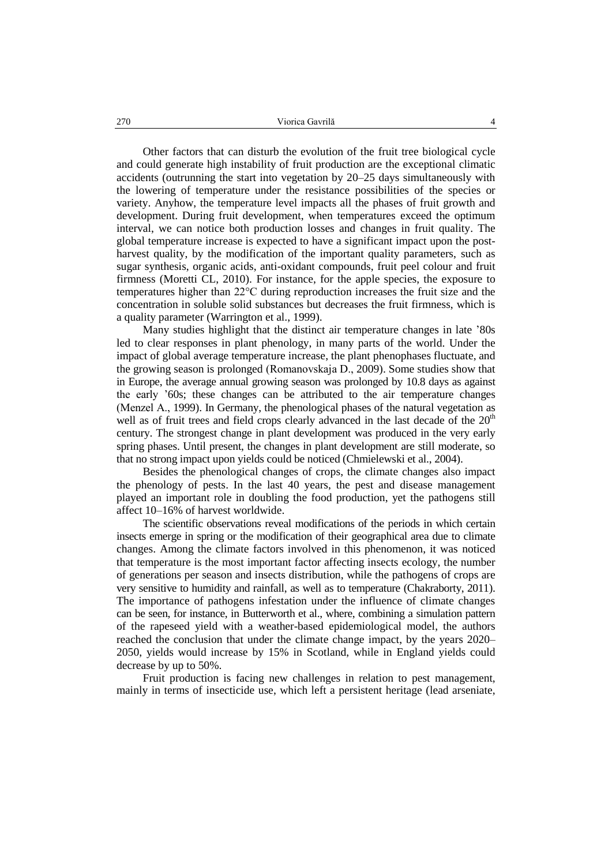Other factors that can disturb the evolution of the fruit tree biological cycle and could generate high instability of fruit production are the exceptional climatic accidents (outrunning the start into vegetation by 20–25 days simultaneously with the lowering of temperature under the resistance possibilities of the species or variety. Anyhow, the temperature level impacts all the phases of fruit growth and development. During fruit development, when temperatures exceed the optimum interval, we can notice both production losses and changes in fruit quality. The global temperature increase is expected to have a significant impact upon the postharvest quality, by the modification of the important quality parameters, such as sugar synthesis, organic acids, anti-oxidant compounds, fruit peel colour and fruit firmness (Moretti CL, 2010). For instance, for the apple species, the exposure to temperatures higher than 22°C during reproduction increases the fruit size and the concentration in soluble solid substances but decreases the fruit firmness, which is a quality parameter (Warrington et al., 1999).

Many studies highlight that the distinct air temperature changes in late '80s led to clear responses in plant phenology, in many parts of the world. Under the impact of global average temperature increase, the plant phenophases fluctuate, and the growing season is prolonged (Romanovskaja D., 2009). Some studies show that in Europe, the average annual growing season was prolonged by 10.8 days as against the early '60s; these changes can be attributed to the air temperature changes (Menzel A., 1999). In Germany, the phenological phases of the natural vegetation as well as of fruit trees and field crops clearly advanced in the last decade of the  $20<sup>th</sup>$ century. The strongest change in plant development was produced in the very early spring phases. Until present, the changes in plant development are still moderate, so that no strong impact upon yields could be noticed (Chmielewski et al., 2004).

Besides the phenological changes of crops, the climate changes also impact the phenology of pests. In the last 40 years, the pest and disease management played an important role in doubling the food production, yet the pathogens still affect 10–16% of harvest worldwide.

The scientific observations reveal modifications of the periods in which certain insects emerge in spring or the modification of their geographical area due to climate changes. Among the climate factors involved in this phenomenon, it was noticed that temperature is the most important factor affecting insects ecology, the number of generations per season and insects distribution, while the pathogens of crops are very sensitive to humidity and rainfall, as well as to temperature (Chakraborty, 2011). The importance of pathogens infestation under the influence of climate changes can be seen, for instance, in Butterworth et al., where, combining a simulation pattern of the rapeseed yield with a weather-based epidemiological model, the authors reached the conclusion that under the climate change impact, by the years 2020– 2050, yields would increase by 15% in Scotland, while in England yields could decrease by up to 50%.

Fruit production is facing new challenges in relation to pest management, mainly in terms of insecticide use, which left a persistent heritage (lead arseniate,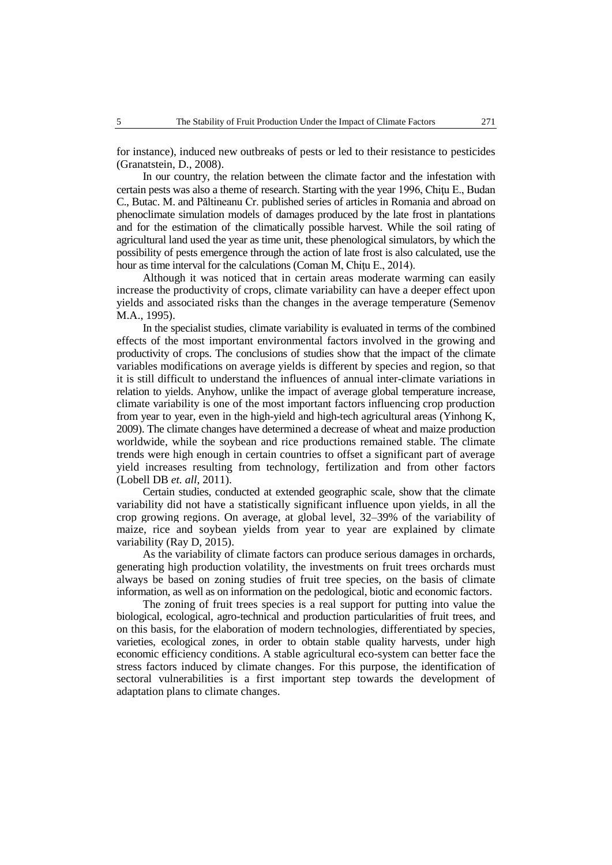for instance), induced new outbreaks of pests or led to their resistance to pesticides (Granatstein, D., 2008).

In our country, the relation between the climate factor and the infestation with certain pests was also a theme of research. Starting with the year 1996, Chiţu E., Budan C., Butac. M. and Păltineanu Cr. published series of articles in Romania and abroad on phenoclimate simulation models of damages produced by the late frost in plantations and for the estimation of the climatically possible harvest. While the soil rating of agricultural land used the year as time unit, these phenological simulators, by which the possibility of pests emergence through the action of late frost is also calculated, use the hour as time interval for the calculations (Coman M, Chitu E., 2014).

Although it was noticed that in certain areas moderate warming can easily increase the productivity of crops, climate variability can have a deeper effect upon yields and associated risks than the changes in the average temperature (Semenov M.A., 1995).

In the specialist studies, climate variability is evaluated in terms of the combined effects of the most important environmental factors involved in the growing and productivity of crops. The conclusions of studies show that the impact of the climate variables modifications on average yields is different by species and region, so that it is still difficult to understand the influences of annual inter-climate variations in relation to yields. Anyhow, unlike the impact of average global temperature increase, climate variability is one of the most important factors influencing crop production from year to year, even in the high-yield and high-tech agricultural areas (Yinhong K, 2009). The climate changes have determined a decrease of wheat and maize production worldwide, while the soybean and rice productions remained stable. The climate trends were high enough in certain countries to offset a significant part of average yield increases resulting from technology, fertilization and from other factors [\(Lobell DB](http://www.ncbi.nlm.nih.gov/pubmed/?term=Lobell%20DB%5BAuthor%5D&cauthor=true&cauthor_uid=21551030) *et. all*, 2011).

Certain studies, conducted at extended geographic scale, show that the climate variability did not have a statistically significant influence upon yields, in all the crop growing regions. On average, at global level, 32–39% of the variability of maize, rice and soybean yields from year to year are explained by climate variability (Ray D, 2015).

As the variability of climate factors can produce serious damages in orchards, generating high production volatility, the investments on fruit trees orchards must always be based on zoning studies of fruit tree species, on the basis of climate information, as well as on information on the pedological, biotic and economic factors.

The zoning of fruit trees species is a real support for putting into value the biological, ecological, agro-technical and production particularities of fruit trees, and on this basis, for the elaboration of modern technologies, differentiated by species, varieties, ecological zones, in order to obtain stable quality harvests, under high economic efficiency conditions. A stable agricultural eco-system can better face the stress factors induced by climate changes. For this purpose, the identification of sectoral vulnerabilities is a first important step towards the development of adaptation plans to climate changes.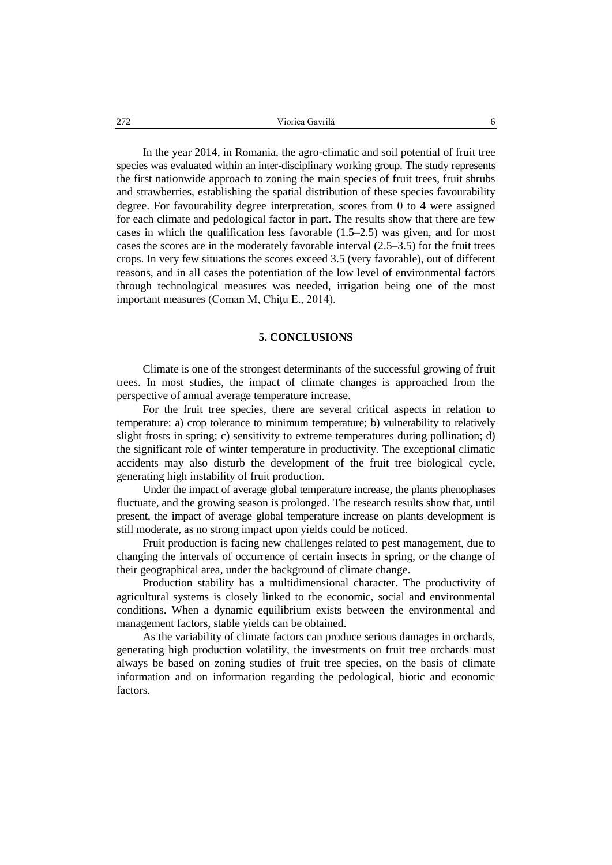In the year 2014, in Romania, the agro-climatic and soil potential of fruit tree species was evaluated within an inter-disciplinary working group. The study represents the first nationwide approach to zoning the main species of fruit trees, fruit shrubs and strawberries, establishing the spatial distribution of these species favourability degree. For favourability degree interpretation, scores from 0 to 4 were assigned for each climate and pedological factor in part. The results show that there are few cases in which the qualification less favorable (1.5–2.5) was given, and for most cases the scores are in the moderately favorable interval (2.5–3.5) for the fruit trees crops. In very few situations the scores exceed 3.5 (very favorable), out of different reasons, and in all cases the potentiation of the low level of environmental factors through technological measures was needed, irrigation being one of the most important measures (Coman M, Chitu E., 2014).

### **5. CONCLUSIONS**

Climate is one of the strongest determinants of the successful growing of fruit trees. In most studies, the impact of climate changes is approached from the perspective of annual average temperature increase.

For the fruit tree species, there are several critical aspects in relation to temperature: a) crop tolerance to minimum temperature; b) vulnerability to relatively slight frosts in spring; c) sensitivity to extreme temperatures during pollination; d) the significant role of winter temperature in productivity. The exceptional climatic accidents may also disturb the development of the fruit tree biological cycle, generating high instability of fruit production.

Under the impact of average global temperature increase, the plants phenophases fluctuate, and the growing season is prolonged. The research results show that, until present, the impact of average global temperature increase on plants development is still moderate, as no strong impact upon yields could be noticed.

Fruit production is facing new challenges related to pest management, due to changing the intervals of occurrence of certain insects in spring, or the change of their geographical area, under the background of climate change.

Production stability has a multidimensional character. The productivity of agricultural systems is closely linked to the economic, social and environmental conditions. When a dynamic equilibrium exists between the environmental and management factors, stable yields can be obtained.

As the variability of climate factors can produce serious damages in orchards, generating high production volatility, the investments on fruit tree orchards must always be based on zoning studies of fruit tree species, on the basis of climate information and on information regarding the pedological, biotic and economic factors.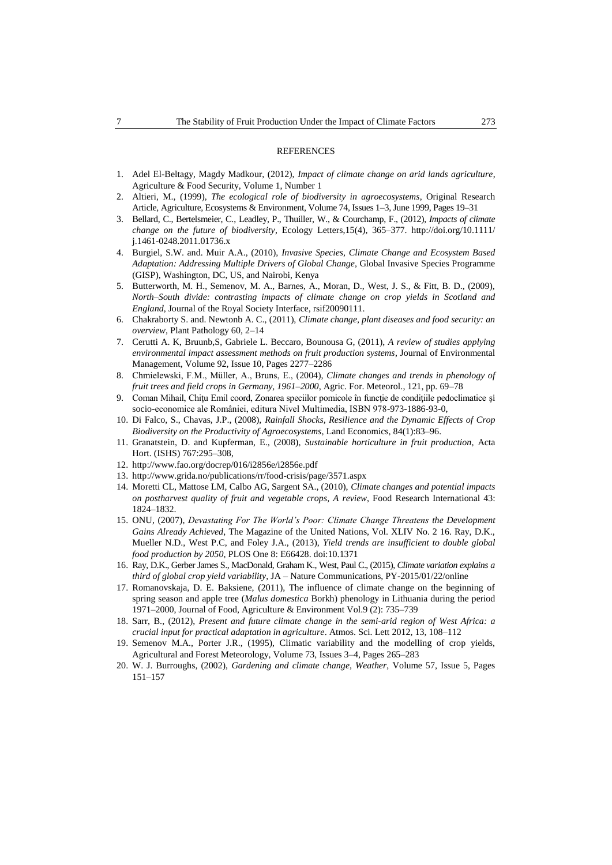#### **REFERENCES**

- 1. Adel El-Beltagy, Magdy Madkour, (2012), *Impact of climate change on arid lands agriculture*, Agriculture & Food Security, Volume 1, Number 1
- 2. Altieri, M., (1999), *The ecological role of biodiversity in agroecosystems*, Original Research Article, Agriculture, Ecosystems & Environment, Volume 74, Issues 1–3, June 1999, Pages 19–31
- 3. Bellard, C., Bertelsmeier, C., Leadley, P., Thuiller, W., & Courchamp, F., (2012), *Impacts of climate change on the future of biodiversity*, Ecology Letters,15(4), 365–377. http://doi.org/10.1111/ j.1461-0248.2011.01736.x
- 4. Burgiel, S.W. and. Muir A.A., (2010), *Invasive Species, Climate Change and Ecosystem Based Adaptation: Addressing Multiple Drivers of Global Change*, Global Invasive Species Programme (GISP), Washington, DC, US, and Nairobi, Kenya
- 5. Butterworth, M. H., Semenov, M. A., Barnes, A., Moran, D., West, J. S., & Fitt, B. D., (2009), *North–South divide: contrasting impacts of climate change on crop yields in Scotland and England*, Journal of the Royal Society Interface, rsif20090111.
- 6. Chakraborty S. and. Newtonb A. C., (2011), *Climate change, plant diseases and food security: an overview*, Plant Pathology 60, 2–14
- 7. Cerutti A. K, Bruunb,S, Gabriele L. Beccaro, Bounousa G, (2011), *A review of studies applying environmental impact assessment methods on fruit production systems*, Journal of Environmental Management, Volume 92, Issue 10, Pages 2277–2286
- 8. Chmielewski, F.M., Müller, A., Bruns, E., (2004), *Climate changes and trends in phenology of fruit trees and field crops in Germany, 1961–2000*, Agric. For. Meteorol., 121, pp. 69–78
- 9. Coman Mihail, Chitu Emil coord, Zonarea speciilor pomicole în funcție de condițiile pedoclimatice și socio-economice ale României, editura Nivel Multimedia, ISBN 978-973-1886-93-0,
- 10. Di Falco, S., Chavas, J.P., (2008), *Rainfall Shocks, Resilience and the Dynamic Effects of Crop Biodiversity on the Productivity of Agroecosystems*, Land Economics, 84(1):83–96.
- 11. Granatstein, D. and Kupferman, E., (2008), *Sustainable horticulture in fruit production,* Acta Hort. (ISHS) 767:295–308,
- 12. http://www.fao.org/docrep/016/i2856e/i2856e.pdf
- 13. http://www.grida.no/publications/rr/food-crisis/page/3571.aspx
- 14. Moretti CL, Mattose LM, Calbo AG, Sargent SA., (2010), *Climate changes and potential impacts on postharvest quality of fruit and vegetable crops, A review*, Food Research International 43: 1824–1832.
- 15. ONU, (2007), *Devastating For The World's Poor: Climate Change Threatens the Development Gains Already Achieved*, The Magazine of the United Nations, Vol. XLIV No. 2 16. Ray, D.K., Mueller N.D., West P.C, and Foley J.A., (2013), *Yield trends are insufficient to double global food production by 2050*, PLOS One 8: E66428. doi:10.1371
- 16. Ray, D.K., Gerber James S., MacDonald, Graham K., West, Paul C., (2015), *Climate variation explains a third of global crop yield variability*, JA – Nature Communications, PY-2015/01/22/online
- 17. Romanovskaja, D. E. Baksiene, (2011), The influence of climate change on the beginning of spring season and apple tree (*Malus domestica* Borkh) phenology in Lithuania during the period 1971–2000, Journal of Food, Agriculture & Environment Vol.9 (2): 735–739
- 18. Sarr, B., (2012), *Present and future climate change in the semi-arid region of West Africa: a crucial input for practical adaptation in agriculture*. Atmos. Sci. Lett 2012, 13, 108–112
- 19. Semenov M.A., Porter J.R., (1995), Climatic variability and the modelling of crop yields, Agricultural and Forest Meteorology, Volume 73, Issues 3–4, Pages 265–283
- 20. W. J. Burroughs, (2002), *Gardening and climate change, Weather*, Volume 57, Issue 5, Pages 151–157